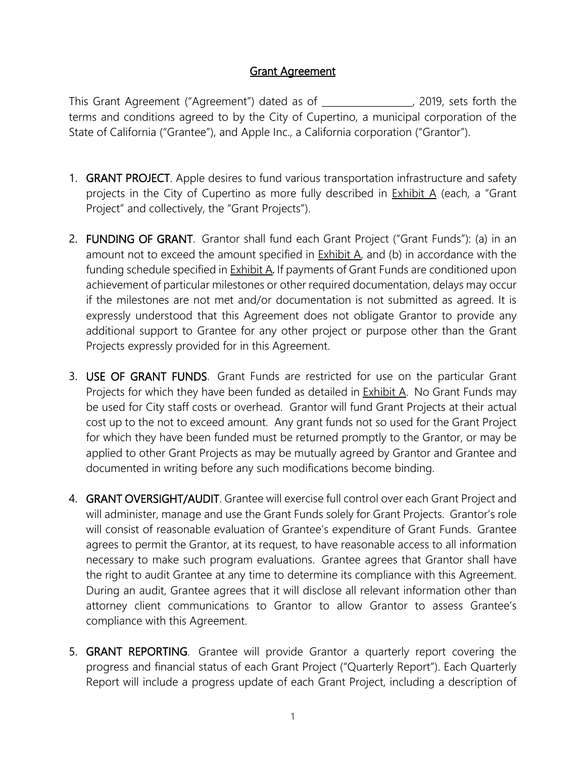## Grant Agreement

This Grant Agreement ("Agreement") dated as of \_\_\_\_\_\_\_\_\_\_\_\_\_\_\_\_\_\_\_, 2019, sets forth the terms and conditions agreed to by the City of Cupertino, a municipal corporation of the State of California ("Grantee"), and Apple Inc., a California corporation ("Grantor").

- 1. GRANT PROJECT. Apple desires to fund various transportation infrastructure and safety projects in the City of Cupertino as more fully described in  $Exhibit A$  (each, a "Grant Project" and collectively, the "Grant Projects").
- 2. FUNDING OF GRANT. Grantor shall fund each Grant Project ("Grant Funds"): (a) in an amount not to exceed the amount specified in **Exhibit A**, and (b) in accordance with the funding schedule specified in **Exhibit A.** If payments of Grant Funds are conditioned upon achievement of particular milestones or other required documentation, delays may occur if the milestones are not met and/or documentation is not submitted as agreed. It is expressly understood that this Agreement does not obligate Grantor to provide any additional support to Grantee for any other project or purpose other than the Grant Projects expressly provided for in this Agreement.
- 3. USE OF GRANT FUNDS. Grant Funds are restricted for use on the particular Grant Projects for which they have been funded as detailed in Exhibit A. No Grant Funds may be used for City staff costs or overhead. Grantor will fund Grant Projects at their actual cost up to the not to exceed amount. Any grant funds not so used for the Grant Project for which they have been funded must be returned promptly to the Grantor, or may be applied to other Grant Projects as may be mutually agreed by Grantor and Grantee and documented in writing before any such modifications become binding.
- 4. GRANT OVERSIGHT/AUDIT. Grantee will exercise full control over each Grant Project and will administer, manage and use the Grant Funds solely for Grant Projects. Grantor's role will consist of reasonable evaluation of Grantee's expenditure of Grant Funds. Grantee agrees to permit the Grantor, at its request, to have reasonable access to all information necessary to make such program evaluations. Grantee agrees that Grantor shall have the right to audit Grantee at any time to determine its compliance with this Agreement. During an audit, Grantee agrees that it will disclose all relevant information other than attorney client communications to Grantor to allow Grantor to assess Grantee's compliance with this Agreement.
- 5. GRANT REPORTING. Grantee will provide Grantor a quarterly report covering the progress and financial status of each Grant Project ("Quarterly Report"). Each Quarterly Report will include a progress update of each Grant Project, including a description of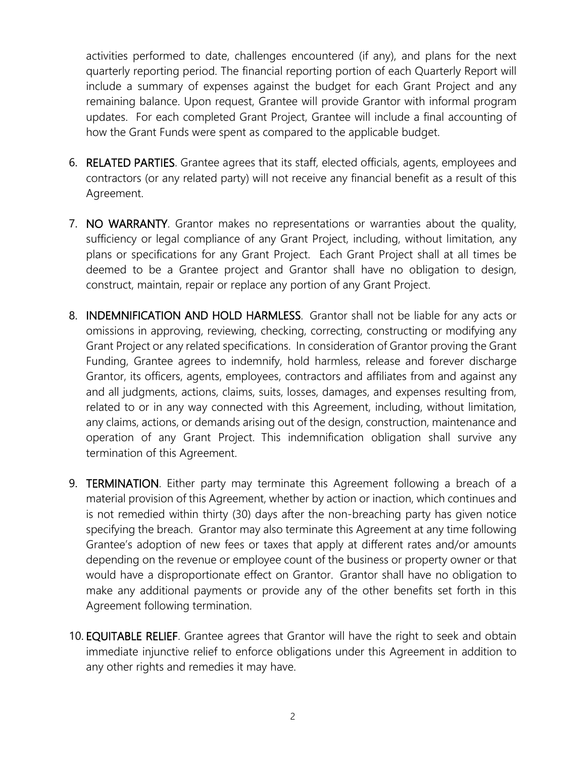activities performed to date, challenges encountered (if any), and plans for the next quarterly reporting period. The financial reporting portion of each Quarterly Report will include a summary of expenses against the budget for each Grant Project and any remaining balance. Upon request, Grantee will provide Grantor with informal program updates. For each completed Grant Project, Grantee will include a final accounting of how the Grant Funds were spent as compared to the applicable budget.

- 6. RELATED PARTIES. Grantee agrees that its staff, elected officials, agents, employees and contractors (or any related party) will not receive any financial benefit as a result of this Agreement.
- 7. NO WARRANTY. Grantor makes no representations or warranties about the quality, sufficiency or legal compliance of any Grant Project, including, without limitation, any plans or specifications for any Grant Project. Each Grant Project shall at all times be deemed to be a Grantee project and Grantor shall have no obligation to design, construct, maintain, repair or replace any portion of any Grant Project.
- 8. INDEMNIFICATION AND HOLD HARMLESS. Grantor shall not be liable for any acts or omissions in approving, reviewing, checking, correcting, constructing or modifying any Grant Project or any related specifications. In consideration of Grantor proving the Grant Funding, Grantee agrees to indemnify, hold harmless, release and forever discharge Grantor, its officers, agents, employees, contractors and affiliates from and against any and all judgments, actions, claims, suits, losses, damages, and expenses resulting from, related to or in any way connected with this Agreement, including, without limitation, any claims, actions, or demands arising out of the design, construction, maintenance and operation of any Grant Project. This indemnification obligation shall survive any termination of this Agreement.
- 9. TERMINATION. Either party may terminate this Agreement following a breach of a material provision of this Agreement, whether by action or inaction, which continues and is not remedied within thirty (30) days after the non-breaching party has given notice specifying the breach. Grantor may also terminate this Agreement at any time following Grantee's adoption of new fees or taxes that apply at different rates and/or amounts depending on the revenue or employee count of the business or property owner or that would have a disproportionate effect on Grantor. Grantor shall have no obligation to make any additional payments or provide any of the other benefits set forth in this Agreement following termination.
- 10. EQUITABLE RELIEF. Grantee agrees that Grantor will have the right to seek and obtain immediate injunctive relief to enforce obligations under this Agreement in addition to any other rights and remedies it may have.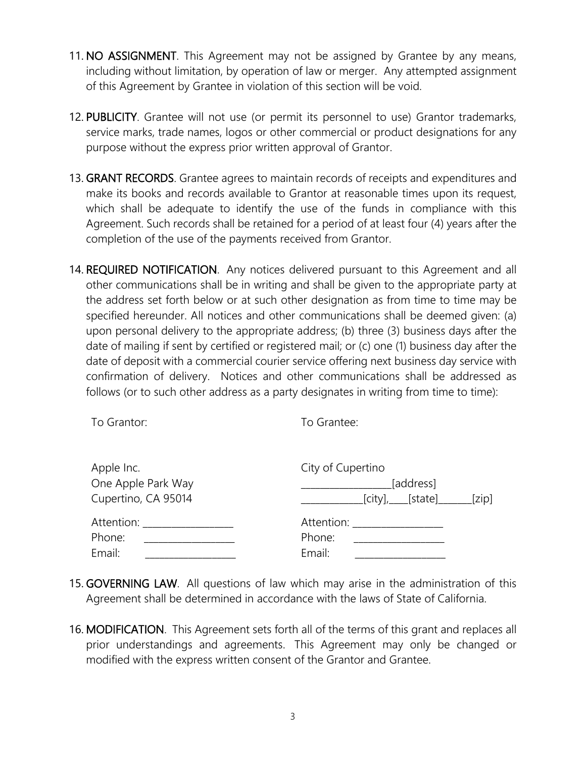- 11. NO ASSIGNMENT. This Agreement may not be assigned by Grantee by any means, including without limitation, by operation of law or merger. Any attempted assignment of this Agreement by Grantee in violation of this section will be void.
- 12. PUBLICITY. Grantee will not use (or permit its personnel to use) Grantor trademarks, service marks, trade names, logos or other commercial or product designations for any purpose without the express prior written approval of Grantor.
- 13. GRANT RECORDS. Grantee agrees to maintain records of receipts and expenditures and make its books and records available to Grantor at reasonable times upon its request, which shall be adequate to identify the use of the funds in compliance with this Agreement. Such records shall be retained for a period of at least four (4) years after the completion of the use of the payments received from Grantor.
- 14. REQUIRED NOTIFICATION. Any notices delivered pursuant to this Agreement and all other communications shall be in writing and shall be given to the appropriate party at the address set forth below or at such other designation as from time to time may be specified hereunder. All notices and other communications shall be deemed given: (a) upon personal delivery to the appropriate address; (b) three (3) business days after the date of mailing if sent by certified or registered mail; or (c) one (1) business day after the date of deposit with a commercial courier service offering next business day service with confirmation of delivery. Notices and other communications shall be addressed as follows (or to such other address as a party designates in writing from time to time):

| To Grantor:         | To Grantee:                |
|---------------------|----------------------------|
| Apple Inc.          | City of Cupertino          |
| One Apple Park Way  | [address]                  |
| Cupertino, CA 95014 | $[city]$ , $[state]$ [zip] |
| Attention:          | Attention:                 |
| Phone:              | Phone:                     |
| Email:              | Email:                     |

- 15. GOVERNING LAW. All questions of law which may arise in the administration of this Agreement shall be determined in accordance with the laws of State of California.
- 16. MODIFICATION. This Agreement sets forth all of the terms of this grant and replaces all prior understandings and agreements. This Agreement may only be changed or modified with the express written consent of the Grantor and Grantee.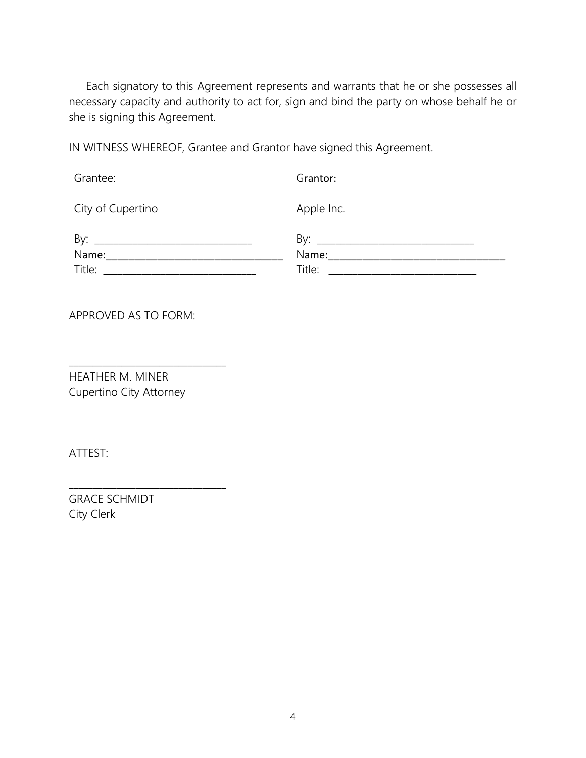Each signatory to this Agreement represents and warrants that he or she possesses all necessary capacity and authority to act for, sign and bind the party on whose behalf he or she is signing this Agreement.

IN WITNESS WHEREOF, Grantee and Grantor have signed this Agreement.

Grantee: City of Cupertino Grantor: Apple Inc. By: \_\_\_\_\_\_\_\_\_\_\_\_\_\_\_\_\_\_\_\_\_\_\_\_\_\_\_\_\_\_\_\_\_ Name:\_\_\_\_\_\_\_\_\_\_\_\_\_\_\_\_\_\_\_\_\_\_\_\_\_\_\_\_\_\_\_ Title: \_\_\_\_\_\_\_\_\_\_\_\_\_\_\_\_\_\_\_\_\_\_\_\_\_\_\_\_\_\_\_\_ By: \_\_\_\_\_\_\_\_\_\_\_\_\_\_\_\_\_\_\_\_\_\_\_\_\_\_\_\_\_\_\_\_\_ Name:\_\_\_\_\_\_\_\_\_\_\_\_\_\_\_\_\_\_\_\_\_\_\_\_\_\_\_\_\_\_\_ Title: \_\_\_\_\_\_\_\_\_\_\_\_\_\_\_\_\_\_\_\_\_\_\_\_\_\_\_\_\_\_\_

APPROVED AS TO FORM:

HEATHER M. MINER Cupertino City Attorney

\_\_\_\_\_\_\_\_\_\_\_\_\_\_\_\_\_\_\_\_\_\_\_\_\_\_\_\_\_\_\_\_\_

\_\_\_\_\_\_\_\_\_\_\_\_\_\_\_\_\_\_\_\_\_\_\_\_\_\_\_\_\_\_\_\_\_

ATTEST:

GRACE SCHMIDT City Clerk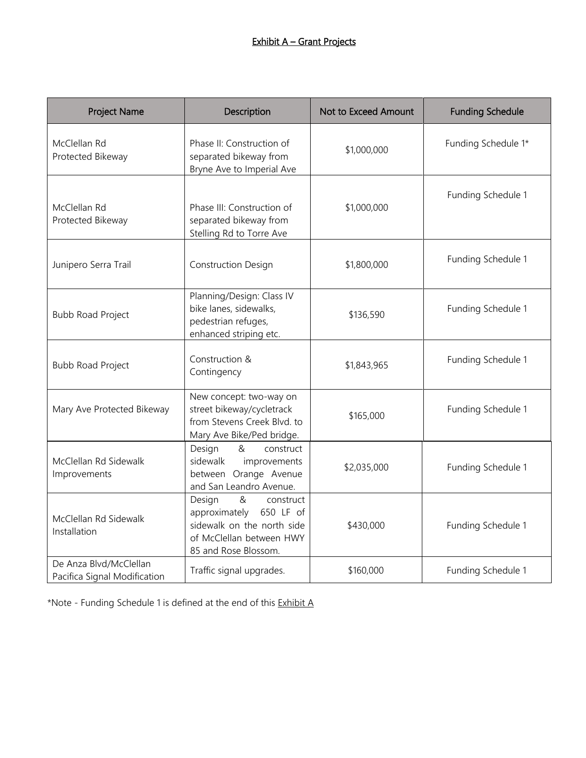| <b>Project Name</b>                                    | Description                                                                                                                              | Not to Exceed Amount | <b>Funding Schedule</b> |
|--------------------------------------------------------|------------------------------------------------------------------------------------------------------------------------------------------|----------------------|-------------------------|
| McClellan Rd<br>Protected Bikeway                      | Phase II: Construction of<br>separated bikeway from<br>Bryne Ave to Imperial Ave                                                         | \$1,000,000          | Funding Schedule 1*     |
| McClellan Rd<br>Protected Bikeway                      | Phase III: Construction of<br>separated bikeway from<br>Stelling Rd to Torre Ave                                                         | \$1,000,000          | Funding Schedule 1      |
| Junipero Serra Trail                                   | <b>Construction Design</b>                                                                                                               | \$1,800,000          | Funding Schedule 1      |
| <b>Bubb Road Project</b>                               | Planning/Design: Class IV<br>bike lanes, sidewalks,<br>pedestrian refuges,<br>enhanced striping etc.                                     | \$136,590            | Funding Schedule 1      |
| <b>Bubb Road Project</b>                               | Construction &<br>Contingency                                                                                                            | \$1,843,965          | Funding Schedule 1      |
| Mary Ave Protected Bikeway                             | New concept: two-way on<br>street bikeway/cycletrack<br>from Stevens Creek Blvd. to<br>Mary Ave Bike/Ped bridge.                         | \$165,000            | Funding Schedule 1      |
| McClellan Rd Sidewalk<br>Improvements                  | Design<br>&<br>construct<br>sidewalk<br>improvements<br>between Orange Avenue<br>and San Leandro Avenue.                                 | \$2,035,000          | Funding Schedule 1      |
| McClellan Rd Sidewalk<br>Installation                  | Design<br>&<br>construct<br>approximately<br>650 LF of<br>sidewalk on the north side<br>of McClellan between HWY<br>85 and Rose Blossom. | \$430,000            | Funding Schedule 1      |
| De Anza Blvd/McClellan<br>Pacifica Signal Modification | Traffic signal upgrades.                                                                                                                 | \$160,000            | Funding Schedule 1      |

\*Note - Funding Schedule 1 is defined at the end of this Exhibit A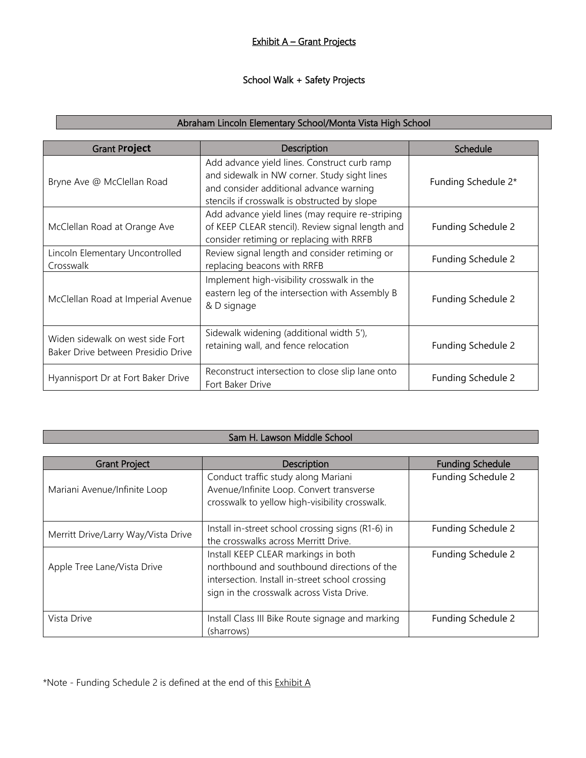#### Exhibit A - Grant Projects

#### School Walk + Safety Projects

### Abraham Lincoln Elementary School/Monta Vista High School

| <b>Grant Project</b>                                                   | Description                                                                                                                                                                             | Schedule            |
|------------------------------------------------------------------------|-----------------------------------------------------------------------------------------------------------------------------------------------------------------------------------------|---------------------|
| Bryne Ave @ McClellan Road                                             | Add advance yield lines. Construct curb ramp<br>and sidewalk in NW corner. Study sight lines<br>and consider additional advance warning<br>stencils if crosswalk is obstructed by slope | Funding Schedule 2* |
| McClellan Road at Orange Ave                                           | Add advance yield lines (may require re-striping<br>of KEEP CLEAR stencil). Review signal length and<br>consider retiming or replacing with RRFB                                        | Funding Schedule 2  |
| Lincoln Elementary Uncontrolled<br>Crosswalk                           | Review signal length and consider retiming or<br>replacing beacons with RRFB                                                                                                            | Funding Schedule 2  |
| McClellan Road at Imperial Avenue                                      | Implement high-visibility crosswalk in the<br>eastern leg of the intersection with Assembly B<br>& D signage                                                                            | Funding Schedule 2  |
| Widen sidewalk on west side Fort<br>Baker Drive between Presidio Drive | Sidewalk widening (additional width 5'),<br>retaining wall, and fence relocation                                                                                                        | Funding Schedule 2  |
| Hyannisport Dr at Fort Baker Drive                                     | Reconstruct intersection to close slip lane onto<br>Fort Baker Drive                                                                                                                    | Funding Schedule 2  |

### Sam H. Lawson Middle School

| <b>Grant Project</b>                | Description                                                                                                                                                                        | <b>Funding Schedule</b> |
|-------------------------------------|------------------------------------------------------------------------------------------------------------------------------------------------------------------------------------|-------------------------|
| Mariani Avenue/Infinite Loop        | Conduct traffic study along Mariani<br>Avenue/Infinite Loop. Convert transverse<br>crosswalk to yellow high-visibility crosswalk.                                                  | Funding Schedule 2      |
| Merritt Drive/Larry Way/Vista Drive | Install in-street school crossing signs (R1-6) in<br>the crosswalks across Merritt Drive.                                                                                          | Funding Schedule 2      |
| Apple Tree Lane/Vista Drive         | Install KEEP CLEAR markings in both<br>northbound and southbound directions of the<br>intersection. Install in-street school crossing<br>sign in the crosswalk across Vista Drive. | Funding Schedule 2      |
| Vista Drive                         | Install Class III Bike Route signage and marking<br>(sharrows)                                                                                                                     | Funding Schedule 2      |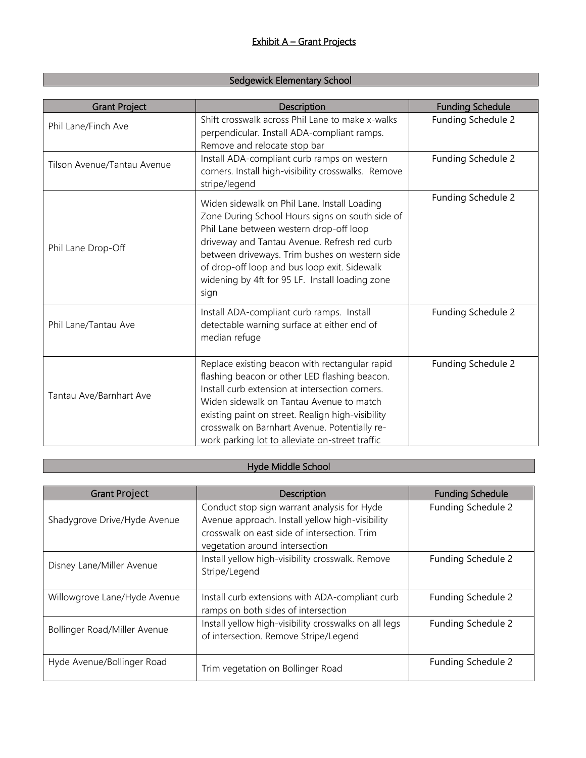#### Sedgewick Elementary School

| <b>Grant Project</b>        | Description                                                                                                                                                                                                                                                                                                                                             | <b>Funding Schedule</b> |
|-----------------------------|---------------------------------------------------------------------------------------------------------------------------------------------------------------------------------------------------------------------------------------------------------------------------------------------------------------------------------------------------------|-------------------------|
| Phil Lane/Finch Ave         | Shift crosswalk across Phil Lane to make x-walks<br>perpendicular. Install ADA-compliant ramps.<br>Remove and relocate stop bar                                                                                                                                                                                                                         | Funding Schedule 2      |
| Tilson Avenue/Tantau Avenue | Install ADA-compliant curb ramps on western<br>corners. Install high-visibility crosswalks. Remove<br>stripe/legend                                                                                                                                                                                                                                     | Funding Schedule 2      |
| Phil Lane Drop-Off          | Widen sidewalk on Phil Lane. Install Loading<br>Zone During School Hours signs on south side of<br>Phil Lane between western drop-off loop<br>driveway and Tantau Avenue. Refresh red curb<br>between driveways. Trim bushes on western side<br>of drop-off loop and bus loop exit. Sidewalk<br>widening by 4ft for 95 LF. Install loading zone<br>sign | Funding Schedule 2      |
| Phil Lane/Tantau Ave        | Install ADA-compliant curb ramps. Install<br>detectable warning surface at either end of<br>median refuge                                                                                                                                                                                                                                               | Funding Schedule 2      |
| Tantau Ave/Barnhart Ave     | Replace existing beacon with rectangular rapid<br>flashing beacon or other LED flashing beacon.<br>Install curb extension at intersection corners.<br>Widen sidewalk on Tantau Avenue to match<br>existing paint on street. Realign high-visibility<br>crosswalk on Barnhart Avenue. Potentially re-<br>work parking lot to alleviate on-street traffic | Funding Schedule 2      |

# Hyde Middle School

| <b>Grant Project</b>         | Description                                                                                                                                                                      | <b>Funding Schedule</b> |
|------------------------------|----------------------------------------------------------------------------------------------------------------------------------------------------------------------------------|-------------------------|
| Shadygrove Drive/Hyde Avenue | Conduct stop sign warrant analysis for Hyde<br>Avenue approach. Install yellow high-visibility<br>crosswalk on east side of intersection. Trim<br>vegetation around intersection | Funding Schedule 2      |
| Disney Lane/Miller Avenue    | Install yellow high-visibility crosswalk. Remove<br>Stripe/Legend                                                                                                                | Funding Schedule 2      |
| Willowgrove Lane/Hyde Avenue | Install curb extensions with ADA-compliant curb<br>ramps on both sides of intersection                                                                                           | Funding Schedule 2      |
| Bollinger Road/Miller Avenue | Install yellow high-visibility crosswalks on all legs<br>of intersection. Remove Stripe/Legend                                                                                   | Funding Schedule 2      |
| Hyde Avenue/Bollinger Road   | Trim vegetation on Bollinger Road                                                                                                                                                | Funding Schedule 2      |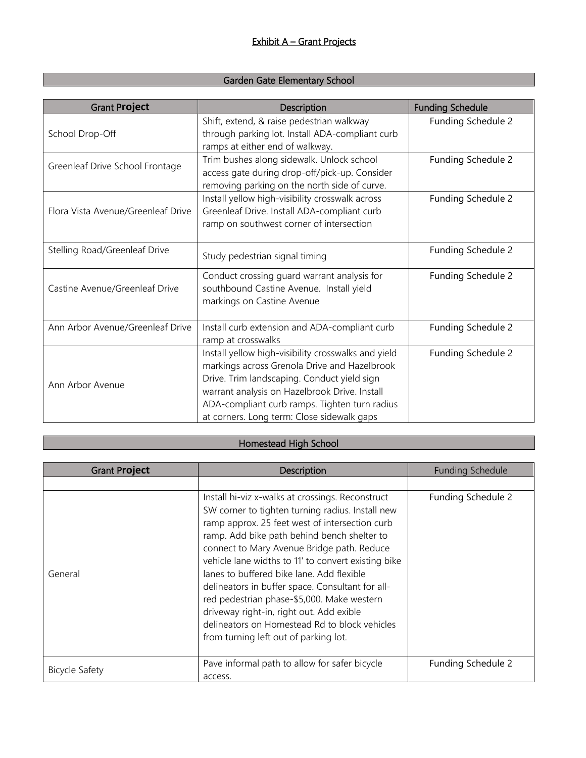#### Garden Gate Elementary School

| <b>Grant Project</b>               | Description                                                                                                                                                                                                                                                                                        | <b>Funding Schedule</b> |
|------------------------------------|----------------------------------------------------------------------------------------------------------------------------------------------------------------------------------------------------------------------------------------------------------------------------------------------------|-------------------------|
| School Drop-Off                    | Shift, extend, & raise pedestrian walkway<br>through parking lot. Install ADA-compliant curb<br>ramps at either end of walkway.                                                                                                                                                                    | Funding Schedule 2      |
| Greenleaf Drive School Frontage    | Trim bushes along sidewalk. Unlock school<br>access gate during drop-off/pick-up. Consider<br>removing parking on the north side of curve.                                                                                                                                                         | Funding Schedule 2      |
| Flora Vista Avenue/Greenleaf Drive | Install yellow high-visibility crosswalk across<br>Greenleaf Drive. Install ADA-compliant curb<br>ramp on southwest corner of intersection                                                                                                                                                         | Funding Schedule 2      |
| Stelling Road/Greenleaf Drive      | Study pedestrian signal timing                                                                                                                                                                                                                                                                     | Funding Schedule 2      |
| Castine Avenue/Greenleaf Drive     | Conduct crossing guard warrant analysis for<br>southbound Castine Avenue. Install yield<br>markings on Castine Avenue                                                                                                                                                                              | Funding Schedule 2      |
| Ann Arbor Avenue/Greenleaf Drive   | Install curb extension and ADA-compliant curb<br>ramp at crosswalks                                                                                                                                                                                                                                | Funding Schedule 2      |
| Ann Arbor Avenue                   | Install yellow high-visibility crosswalks and yield<br>markings across Grenola Drive and Hazelbrook<br>Drive. Trim landscaping. Conduct yield sign<br>warrant analysis on Hazelbrook Drive. Install<br>ADA-compliant curb ramps. Tighten turn radius<br>at corners. Long term: Close sidewalk gaps | Funding Schedule 2      |

#### Homestead High School

| <b>Grant Project</b>  | Description                                                                                                                                                                                                                                                                                                                                                                                                                                                                                                                                                                                     | <b>Funding Schedule</b> |
|-----------------------|-------------------------------------------------------------------------------------------------------------------------------------------------------------------------------------------------------------------------------------------------------------------------------------------------------------------------------------------------------------------------------------------------------------------------------------------------------------------------------------------------------------------------------------------------------------------------------------------------|-------------------------|
|                       |                                                                                                                                                                                                                                                                                                                                                                                                                                                                                                                                                                                                 |                         |
| General               | Install hi-viz x-walks at crossings. Reconstruct<br>SW corner to tighten turning radius. Install new<br>ramp approx. 25 feet west of intersection curb<br>ramp. Add bike path behind bench shelter to<br>connect to Mary Avenue Bridge path. Reduce<br>vehicle lane widths to 11' to convert existing bike<br>lanes to buffered bike lane. Add flexible<br>delineators in buffer space. Consultant for all-<br>red pedestrian phase-\$5,000. Make western<br>driveway right-in, right out. Add exible<br>delineators on Homestead Rd to block vehicles<br>from turning left out of parking lot. | Funding Schedule 2      |
| <b>Bicycle Safety</b> | Pave informal path to allow for safer bicycle<br>access.                                                                                                                                                                                                                                                                                                                                                                                                                                                                                                                                        | Funding Schedule 2      |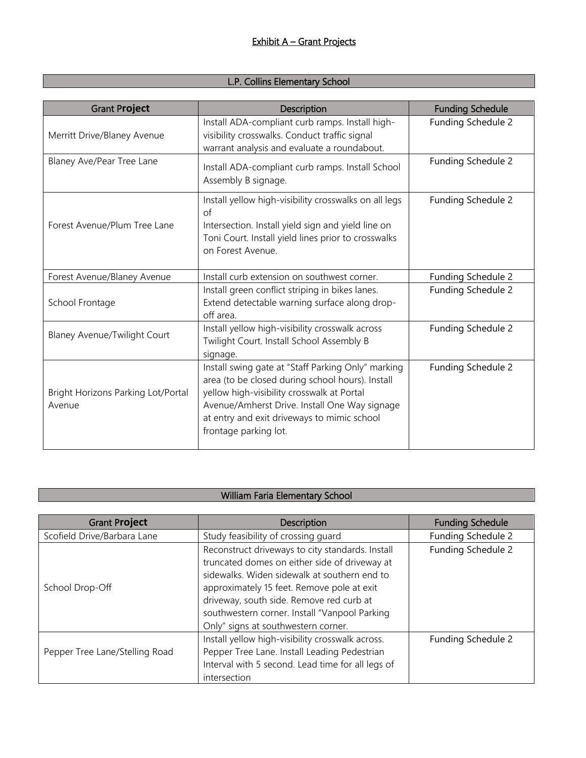# L.P. Collins Elementary School

| <b>Grant Project</b>                         | Description                                                                                                                                                                                                                                                                   | <b>Funding Schedule</b> |
|----------------------------------------------|-------------------------------------------------------------------------------------------------------------------------------------------------------------------------------------------------------------------------------------------------------------------------------|-------------------------|
| Merritt Drive/Blaney Avenue                  | Install ADA-compliant curb ramps. Install high-<br>visibility crosswalks. Conduct traffic signal<br>warrant analysis and evaluate a roundabout.                                                                                                                               | Funding Schedule 2      |
| Blaney Ave/Pear Tree Lane                    | Install ADA-compliant curb ramps. Install School<br>Assembly B signage.                                                                                                                                                                                                       | Funding Schedule 2      |
| Forest Avenue/Plum Tree Lane                 | Install yellow high-visibility crosswalks on all legs<br>of<br>Intersection. Install yield sign and yield line on<br>Toni Court. Install yield lines prior to crosswalks<br>on Forest Avenue.                                                                                 | Funding Schedule 2      |
| Forest Avenue/Blaney Avenue                  | Install curb extension on southwest corner.                                                                                                                                                                                                                                   | Funding Schedule 2      |
| School Frontage                              | Install green conflict striping in bikes lanes.<br>Extend detectable warning surface along drop-<br>off area.                                                                                                                                                                 | Funding Schedule 2      |
| <b>Blaney Avenue/Twilight Court</b>          | Install yellow high-visibility crosswalk across<br>Twilight Court. Install School Assembly B<br>signage.                                                                                                                                                                      | Funding Schedule 2      |
| Bright Horizons Parking Lot/Portal<br>Avenue | Install swing gate at "Staff Parking Only" marking<br>area (to be closed during school hours). Install<br>yellow high-visibility crosswalk at Portal<br>Avenue/Amherst Drive. Install One Way signage<br>at entry and exit driveways to mimic school<br>frontage parking lot. | Funding Schedule 2      |

### William Faria Elementary School

| <b>Grant Project</b>           | Description                                       | <b>Funding Schedule</b> |
|--------------------------------|---------------------------------------------------|-------------------------|
| Scofield Drive/Barbara Lane    | Study feasibility of crossing guard               | Funding Schedule 2      |
|                                | Reconstruct driveways to city standards. Install  | Funding Schedule 2      |
|                                | truncated domes on either side of driveway at     |                         |
|                                | sidewalks. Widen sidewalk at southern end to      |                         |
| School Drop-Off                | approximately 15 feet. Remove pole at exit        |                         |
|                                | driveway, south side. Remove red curb at          |                         |
|                                | southwestern corner. Install "Vanpool Parking     |                         |
|                                | Only" signs at southwestern corner.               |                         |
|                                | Install yellow high-visibility crosswalk across.  | Funding Schedule 2      |
| Pepper Tree Lane/Stelling Road | Pepper Tree Lane. Install Leading Pedestrian      |                         |
|                                | Interval with 5 second. Lead time for all legs of |                         |
|                                | intersection                                      |                         |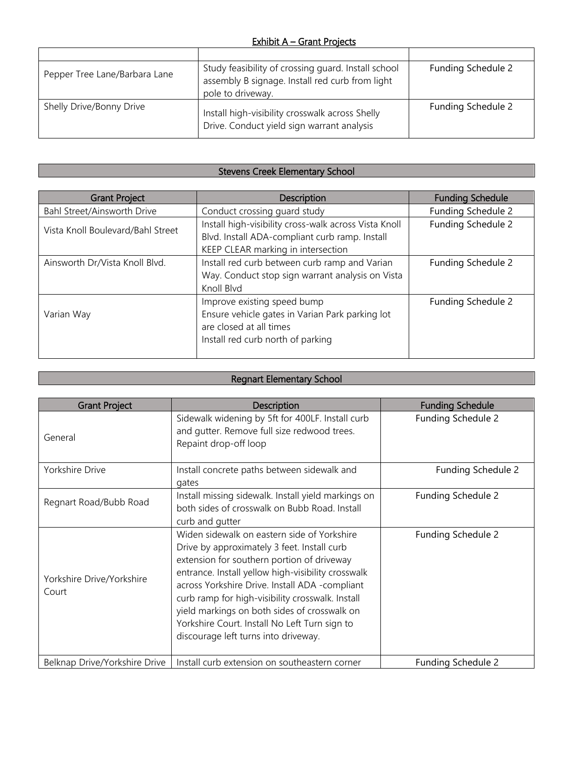#### Exhibit A – Grant Projects

| Pepper Tree Lane/Barbara Lane | Study feasibility of crossing guard. Install school<br>assembly B signage. Install red curb from light<br>pole to driveway. | Funding Schedule 2 |
|-------------------------------|-----------------------------------------------------------------------------------------------------------------------------|--------------------|
| Shelly Drive/Bonny Drive      | Install high-visibility crosswalk across Shelly<br>Drive. Conduct yield sign warrant analysis                               | Funding Schedule 2 |

# Stevens Creek Elementary School

| <b>Grant Project</b>              | <b>Description</b>                                                                                                                             | <b>Funding Schedule</b> |
|-----------------------------------|------------------------------------------------------------------------------------------------------------------------------------------------|-------------------------|
| Bahl Street/Ainsworth Drive       | Conduct crossing guard study                                                                                                                   | Funding Schedule 2      |
| Vista Knoll Boulevard/Bahl Street | Install high-visibility cross-walk across Vista Knoll<br>Blvd. Install ADA-compliant curb ramp. Install<br>KEEP CLEAR marking in intersection  | Funding Schedule 2      |
| Ainsworth Dr/Vista Knoll Blvd.    | Install red curb between curb ramp and Varian<br>Way. Conduct stop sign warrant analysis on Vista<br>Knoll Blvd                                | Funding Schedule 2      |
| Varian Way                        | Improve existing speed bump<br>Ensure vehicle gates in Varian Park parking lot<br>are closed at all times<br>Install red curb north of parking | Funding Schedule 2      |

## Regnart Elementary School

| <b>Grant Project</b>               | Description                                                                                                                                                                                                                                                                                                                                                                                                                                   | <b>Funding Schedule</b> |
|------------------------------------|-----------------------------------------------------------------------------------------------------------------------------------------------------------------------------------------------------------------------------------------------------------------------------------------------------------------------------------------------------------------------------------------------------------------------------------------------|-------------------------|
| General                            | Sidewalk widening by 5ft for 400LF. Install curb<br>and gutter. Remove full size redwood trees.<br>Repaint drop-off loop                                                                                                                                                                                                                                                                                                                      | Funding Schedule 2      |
| Yorkshire Drive                    | Install concrete paths between sidewalk and<br>gates                                                                                                                                                                                                                                                                                                                                                                                          | Funding Schedule 2      |
| Regnart Road/Bubb Road             | Install missing sidewalk. Install yield markings on<br>both sides of crosswalk on Bubb Road, Install<br>curb and gutter                                                                                                                                                                                                                                                                                                                       | Funding Schedule 2      |
| Yorkshire Drive/Yorkshire<br>Court | Widen sidewalk on eastern side of Yorkshire<br>Drive by approximately 3 feet. Install curb<br>extension for southern portion of driveway<br>entrance. Install yellow high-visibility crosswalk<br>across Yorkshire Drive. Install ADA -compliant<br>curb ramp for high-visibility crosswalk. Install<br>yield markings on both sides of crosswalk on<br>Yorkshire Court. Install No Left Turn sign to<br>discourage left turns into driveway. | Funding Schedule 2      |
| Belknap Drive/Yorkshire Drive      | Install curb extension on southeastern corner                                                                                                                                                                                                                                                                                                                                                                                                 | Funding Schedule 2      |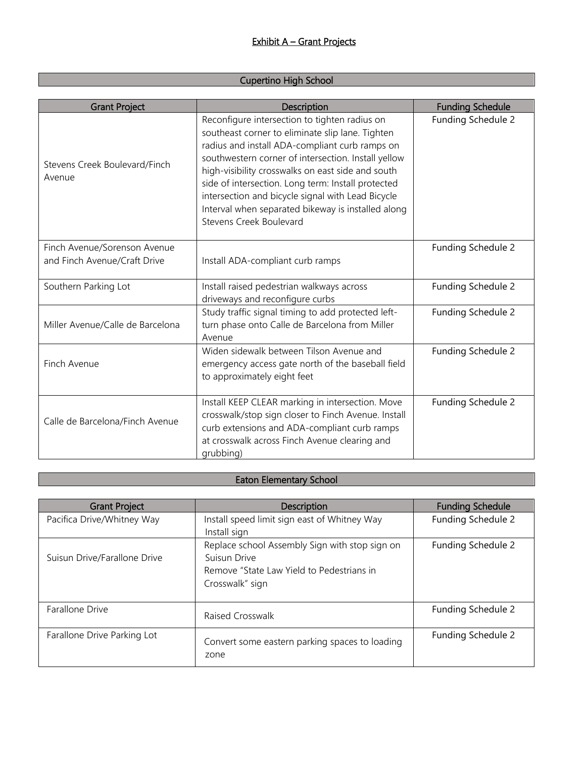#### Cupertino High School

| <b>Grant Project</b>                                         | Description                                                                                                                                                                                                                                                                                                                                                                                                                                                 | <b>Funding Schedule</b> |
|--------------------------------------------------------------|-------------------------------------------------------------------------------------------------------------------------------------------------------------------------------------------------------------------------------------------------------------------------------------------------------------------------------------------------------------------------------------------------------------------------------------------------------------|-------------------------|
| Stevens Creek Boulevard/Finch<br>Avenue                      | Reconfigure intersection to tighten radius on<br>southeast corner to eliminate slip lane. Tighten<br>radius and install ADA-compliant curb ramps on<br>southwestern corner of intersection. Install yellow<br>high-visibility crosswalks on east side and south<br>side of intersection. Long term: Install protected<br>intersection and bicycle signal with Lead Bicycle<br>Interval when separated bikeway is installed along<br>Stevens Creek Boulevard | Funding Schedule 2      |
| Finch Avenue/Sorenson Avenue<br>and Finch Avenue/Craft Drive | Install ADA-compliant curb ramps                                                                                                                                                                                                                                                                                                                                                                                                                            | Funding Schedule 2      |
| Southern Parking Lot                                         | Install raised pedestrian walkways across<br>driveways and reconfigure curbs                                                                                                                                                                                                                                                                                                                                                                                | Funding Schedule 2      |
| Miller Avenue/Calle de Barcelona                             | Study traffic signal timing to add protected left-<br>turn phase onto Calle de Barcelona from Miller<br>Avenue                                                                                                                                                                                                                                                                                                                                              | Funding Schedule 2      |
| Finch Avenue                                                 | Widen sidewalk between Tilson Avenue and<br>emergency access gate north of the baseball field<br>to approximately eight feet                                                                                                                                                                                                                                                                                                                                | Funding Schedule 2      |
| Calle de Barcelona/Finch Avenue                              | Install KEEP CLEAR marking in intersection. Move<br>crosswalk/stop sign closer to Finch Avenue. Install<br>curb extensions and ADA-compliant curb ramps<br>at crosswalk across Finch Avenue clearing and<br>grubbing)                                                                                                                                                                                                                                       | Funding Schedule 2      |

### Eaton Elementary School

| <b>Grant Project</b>         | <b>Description</b>                             | <b>Funding Schedule</b> |
|------------------------------|------------------------------------------------|-------------------------|
| Pacifica Drive/Whitney Way   | Install speed limit sign east of Whitney Way   | Funding Schedule 2      |
|                              | Install sign                                   |                         |
|                              | Replace school Assembly Sign with stop sign on | Funding Schedule 2      |
| Suisun Drive/Farallone Drive | Suisun Drive                                   |                         |
|                              | Remove "State Law Yield to Pedestrians in      |                         |
|                              | Crosswalk" sign                                |                         |
|                              |                                                |                         |
| Farallone Drive              | Raised Crosswalk                               | Funding Schedule 2      |
|                              |                                                |                         |
| Farallone Drive Parking Lot  | Convert some eastern parking spaces to loading | Funding Schedule 2      |
|                              | zone                                           |                         |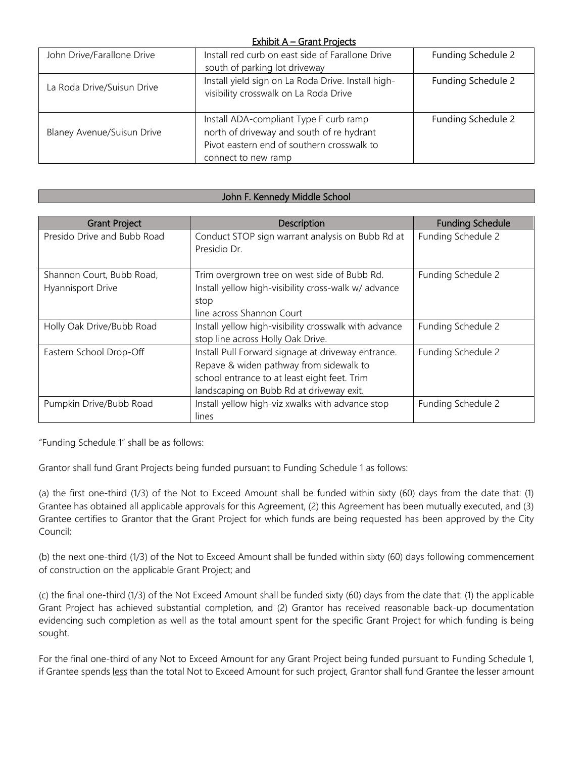#### Exhibit A - Grant Projects

| John Drive/Farallone Drive        | Install red curb on east side of Farallone Drive                                            | Funding Schedule 2 |
|-----------------------------------|---------------------------------------------------------------------------------------------|--------------------|
|                                   | south of parking lot driveway                                                               |                    |
| La Roda Drive/Suisun Drive        | Install yield sign on La Roda Drive. Install high-<br>visibility crosswalk on La Roda Drive | Funding Schedule 2 |
|                                   |                                                                                             |                    |
|                                   | Install ADA-compliant Type F curb ramp                                                      | Funding Schedule 2 |
| <b>Blaney Avenue/Suisun Drive</b> | north of driveway and south of re hydrant                                                   |                    |
|                                   | Pivot eastern end of southern crosswalk to                                                  |                    |
|                                   | connect to new ramp                                                                         |                    |

#### John F. Kennedy Middle School

| <b>Grant Project</b>                                  | Description                                                                                                                                                                               | <b>Funding Schedule</b> |
|-------------------------------------------------------|-------------------------------------------------------------------------------------------------------------------------------------------------------------------------------------------|-------------------------|
| Presido Drive and Bubb Road                           | Conduct STOP sign warrant analysis on Bubb Rd at<br>Presidio Dr.                                                                                                                          | Funding Schedule 2      |
| Shannon Court, Bubb Road,<br><b>Hyannisport Drive</b> | Trim overgrown tree on west side of Bubb Rd.<br>Install yellow high-visibility cross-walk w/ advance<br>stop<br>line across Shannon Court                                                 | Funding Schedule 2      |
| Holly Oak Drive/Bubb Road                             | Install yellow high-visibility crosswalk with advance<br>stop line across Holly Oak Drive.                                                                                                | Funding Schedule 2      |
| Eastern School Drop-Off                               | Install Pull Forward signage at driveway entrance.<br>Repave & widen pathway from sidewalk to<br>school entrance to at least eight feet. Trim<br>landscaping on Bubb Rd at driveway exit. | Funding Schedule 2      |
| Pumpkin Drive/Bubb Road                               | Install yellow high-viz xwalks with advance stop<br>lines                                                                                                                                 | Funding Schedule 2      |

"Funding Schedule 1" shall be as follows:

Grantor shall fund Grant Projects being funded pursuant to Funding Schedule 1 as follows:

(a) the first one-third (1/3) of the Not to Exceed Amount shall be funded within sixty (60) days from the date that: (1) Grantee has obtained all applicable approvals for this Agreement, (2) this Agreement has been mutually executed, and (3) Grantee certifies to Grantor that the Grant Project for which funds are being requested has been approved by the City Council;

(b) the next one-third (1/3) of the Not to Exceed Amount shall be funded within sixty (60) days following commencement of construction on the applicable Grant Project; and

(c) the final one-third (1/3) of the Not Exceed Amount shall be funded sixty (60) days from the date that: (1) the applicable Grant Project has achieved substantial completion, and (2) Grantor has received reasonable back-up documentation evidencing such completion as well as the total amount spent for the specific Grant Project for which funding is being sought.

For the final one-third of any Not to Exceed Amount for any Grant Project being funded pursuant to Funding Schedule 1, if Grantee spends less than the total Not to Exceed Amount for such project, Grantor shall fund Grantee the lesser amount